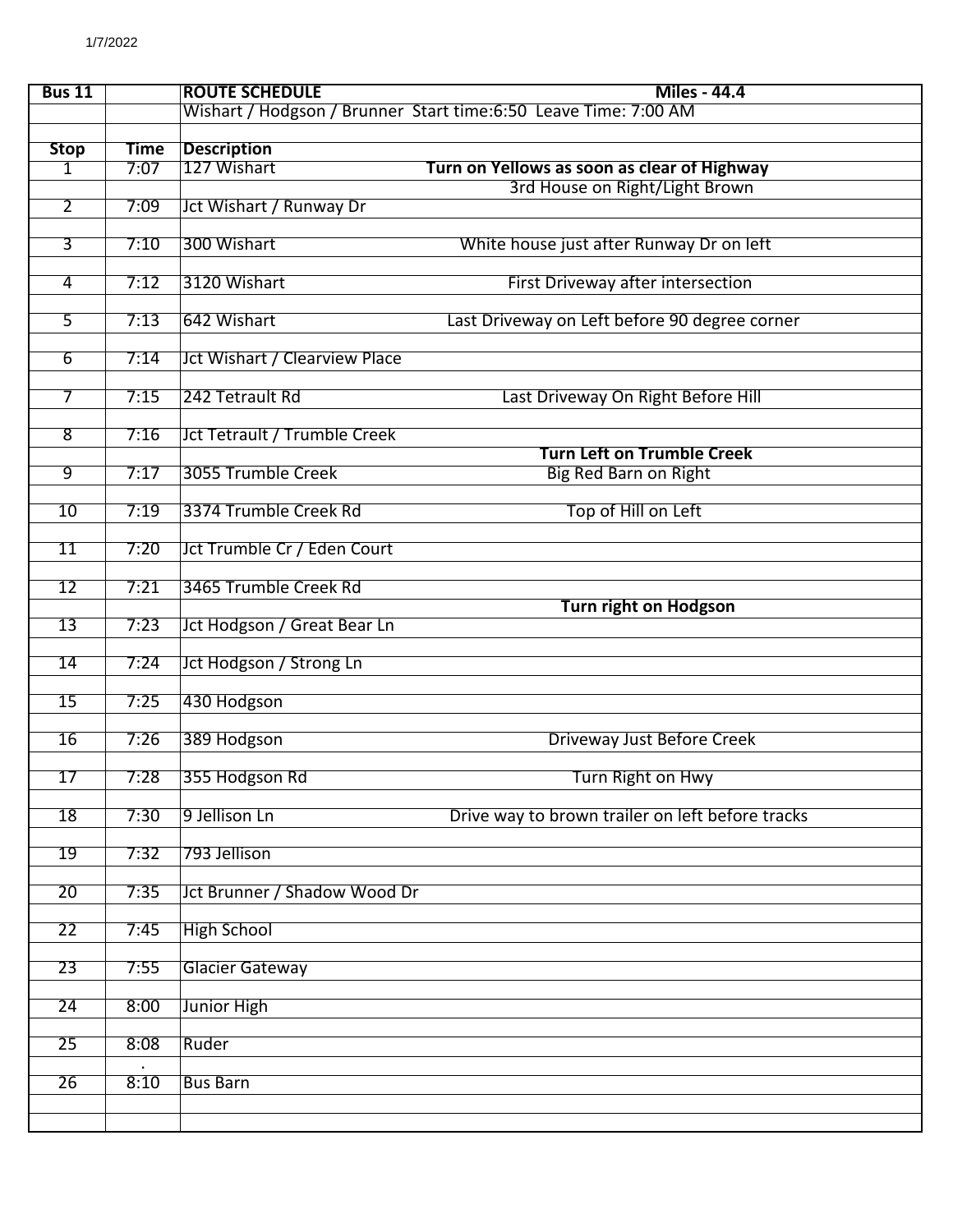| <b>Bus 11</b>   |             | <b>ROUTE SCHEDULE</b>                                           | <b>Miles - 44.4</b>                                               |
|-----------------|-------------|-----------------------------------------------------------------|-------------------------------------------------------------------|
|                 |             | Wishart / Hodgson / Brunner Start time:6:50 Leave Time: 7:00 AM |                                                                   |
| <b>Stop</b>     | <b>Time</b> | <b>Description</b>                                              |                                                                   |
| 1               | 7:07        | 127 Wishart                                                     | Turn on Yellows as soon as clear of Highway                       |
|                 |             |                                                                 | 3rd House on Right/Light Brown                                    |
| $\overline{2}$  | 7:09        | Jct Wishart / Runway Dr                                         |                                                                   |
|                 |             |                                                                 |                                                                   |
| $\overline{3}$  | 7:10        | 300 Wishart                                                     | White house just after Runway Dr on left                          |
| $\overline{4}$  | 7:12        | 3120 Wishart                                                    | First Driveway after intersection                                 |
|                 |             |                                                                 |                                                                   |
| 5               | 7:13        | 642 Wishart                                                     | Last Driveway on Left before 90 degree corner                     |
| $\overline{6}$  | 7:14        | Jct Wishart / Clearview Place                                   |                                                                   |
|                 |             |                                                                 |                                                                   |
| 7               | 7:15        | 242 Tetrault Rd                                                 | Last Driveway On Right Before Hill                                |
|                 |             |                                                                 |                                                                   |
| $\overline{8}$  | 7:16        | <b>Jct Tetrault / Trumble Creek</b>                             |                                                                   |
| 9               | 7:17        | 3055 Trumble Creek                                              | <b>Turn Left on Trumble Creek</b><br><b>Big Red Barn on Right</b> |
|                 |             |                                                                 |                                                                   |
| 10              | 7:19        | 3374 Trumble Creek Rd                                           | Top of Hill on Left                                               |
|                 |             |                                                                 |                                                                   |
| $\overline{11}$ | 7:20        | Jct Trumble Cr / Eden Court                                     |                                                                   |
| 12              | 7:21        | 3465 Trumble Creek Rd                                           |                                                                   |
|                 |             |                                                                 | <b>Turn right on Hodgson</b>                                      |
| 13              | 7:23        | Jct Hodgson / Great Bear Ln                                     |                                                                   |
|                 |             |                                                                 |                                                                   |
| 14              | 7:24        | <b>Jct Hodgson / Strong Ln</b>                                  |                                                                   |
| $\overline{15}$ | 7:25        | 430 Hodgson                                                     |                                                                   |
|                 |             |                                                                 |                                                                   |
| 16              | 7:26        | 389 Hodgson                                                     | <b>Driveway Just Before Creek</b>                                 |
|                 |             |                                                                 |                                                                   |
| 17              | 7:28        | 355 Hodgson Rd                                                  | Turn Right on Hwy                                                 |
| $\overline{18}$ | 7:30        | 9 Jellison Ln                                                   | Drive way to brown trailer on left before tracks                  |
|                 |             |                                                                 |                                                                   |
| $\overline{19}$ | 7:32        | 793 Jellison                                                    |                                                                   |
| 20              | 7:35        | Jct Brunner / Shadow Wood Dr                                    |                                                                   |
|                 |             |                                                                 |                                                                   |
| 22              | 7:45        | <b>High School</b>                                              |                                                                   |
|                 |             |                                                                 |                                                                   |
| $\overline{23}$ | 7:55        | <b>Glacier Gateway</b>                                          |                                                                   |
| 24              | 8:00        | Junior High                                                     |                                                                   |
|                 |             |                                                                 |                                                                   |
| 25              | 8:08        | Ruder                                                           |                                                                   |
|                 |             |                                                                 |                                                                   |
| 26              | 8:10        | <b>Bus Barn</b>                                                 |                                                                   |
|                 |             |                                                                 |                                                                   |
|                 |             |                                                                 |                                                                   |